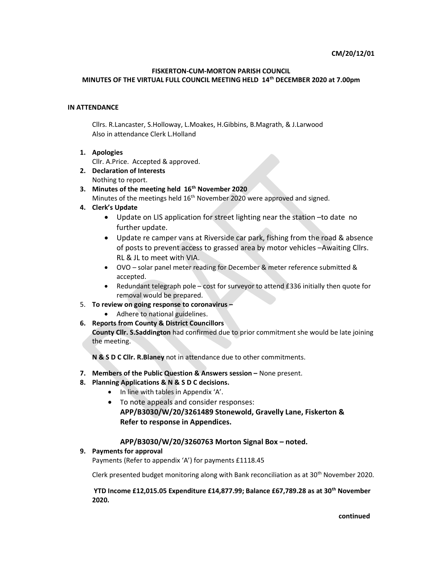### FISKERTON-CUM-MORTON PARISH COUNCIL

#### MINUTES OF THE VIRTUAL FULL COUNCIL MEETING HELD 14th DECEMBER 2020 at 7.00pm

## IN ATTENDANCE

Cllrs. R.Lancaster, S.Holloway, L.Moakes, H.Gibbins, B.Magrath, & J.Larwood Also in attendance Clerk L.Holland

1. Apologies

Cllr. A.Price. Accepted & approved.

- 2. Declaration of Interests Nothing to report.
- 3. Minutes of the meeting held  $16<sup>th</sup>$  November 2020
	- Minutes of the meetings held 16<sup>th</sup> November 2020 were approved and signed.
- 4. Clerk's Update
	- Update on LIS application for street lighting near the station –to date no further update.
	- Update re camper vans at Riverside car park, fishing from the road & absence of posts to prevent access to grassed area by motor vehicles –Awaiting Cllrs. RL & JL to meet with VIA.
	- OVO solar panel meter reading for December & meter reference submitted & accepted.
	- Redundant telegraph pole cost for surveyor to attend £336 initially then quote for removal would be prepared.
- 5. To review on going response to coronavirus  $\sim$ 
	- Adhere to national guidelines.
- 6. Reports from County & District Councillors

County Cllr. S.Saddington had confirmed due to prior commitment she would be late joining the meeting.

N & S D C Cllr. R.Blaney not in attendance due to other commitments.

- 7. Members of the Public Question & Answers session None present.
- 8. Planning Applications & N & S D C decisions.
	- In line with tables in Appendix 'A'.
	- To note appeals and consider responses: APP/B3030/W/20/3261489 Stonewold, Gravelly Lane, Fiskerton & Refer to response in Appendices.

## APP/B3030/W/20/3260763 Morton Signal Box – noted.

## 9. Payments for approval

Payments (Refer to appendix 'A') for payments £1118.45

Clerk presented budget monitoring along with Bank reconciliation as at 30th November 2020.

YTD Income £12,015.05 Expenditure £14,877.99; Balance £67,789.28 as at 30th November 2020.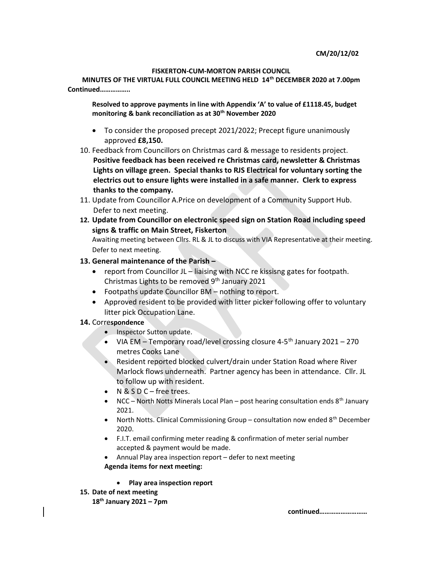### FISKERTON-CUM-MORTON PARISH COUNCIL

MINUTES OF THE VIRTUAL FULL COUNCIL MEETING HELD 14th DECEMBER 2020 at 7.00pm Continued……………..

Resolved to approve payments in line with Appendix 'A' to value of £1118.45, budget monitoring & bank reconciliation as at 30<sup>th</sup> November 2020

- To consider the proposed precept 2021/2022; Precept figure unanimously approved £8,150.
- 10. Feedback from Councillors on Christmas card & message to residents project. Positive feedback has been received re Christmas card, newsletter & Christmas Lights on village green. Special thanks to RJS Electrical for voluntary sorting the electrics out to ensure lights were installed in a safe manner. Clerk to express thanks to the company.
- 11. Update from Councillor A.Price on development of a Community Support Hub. Defer to next meeting.
- 12. Update from Councillor on electronic speed sign on Station Road including speed signs & traffic on Main Street, Fiskerton

Awaiting meeting between Cllrs. RL & JL to discuss with VIA Representative at their meeting. Defer to next meeting.

## 13. General maintenance of the Parish –

- report from Councillor JL liaising with NCC re kissisng gates for footpath. Christmas Lights to be removed 9<sup>th</sup> January 2021
- Footpaths update Councillor BM nothing to report.
- Approved resident to be provided with litter picker following offer to voluntary litter pick Occupation Lane.

## 14. Correspondence

- Inspector Sutton update.
- VIA EM Temporary road/level crossing closure 4-5<sup>th</sup> January 2021 270 metres Cooks Lane
- Resident reported blocked culvert/drain under Station Road where River Marlock flows underneath. Partner agency has been in attendance. Cllr. JL to follow up with resident.
- N & S D C free trees.
- NCC North Notts Minerals Local Plan post hearing consultation ends  $8<sup>th</sup>$  January 2021.
- North Notts. Clinical Commissioning Group consultation now ended  $8<sup>th</sup>$  December 2020.
- F.I.T. email confirming meter reading & confirmation of meter serial number accepted & payment would be made.
- Annual Play area inspection report defer to next meeting Agenda items for next meeting:
	- Play area inspection report
- 15. Date of next meeting
	- $18<sup>th</sup>$  January 2021 7pm

continued………………………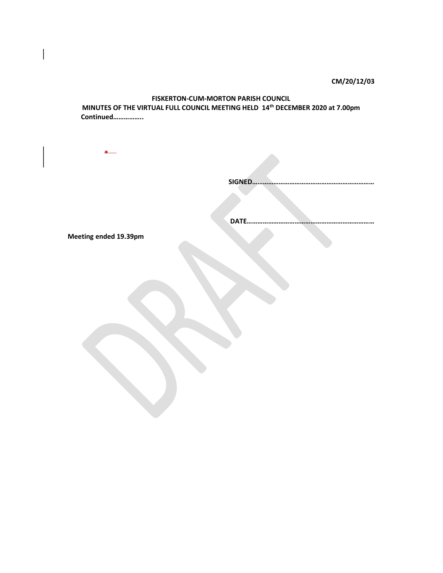CM/20/12/03

## FISKERTON-CUM-MORTON PARISH COUNCIL MINUTES OF THE VIRTUAL FULL COUNCIL MEETING HELD 14th DECEMBER 2020 at 7.00pm Continued……………..

SIGNED……………………………………………………………

DATE………………………………………………………………

Meeting ended 19.39pm

 $\bullet$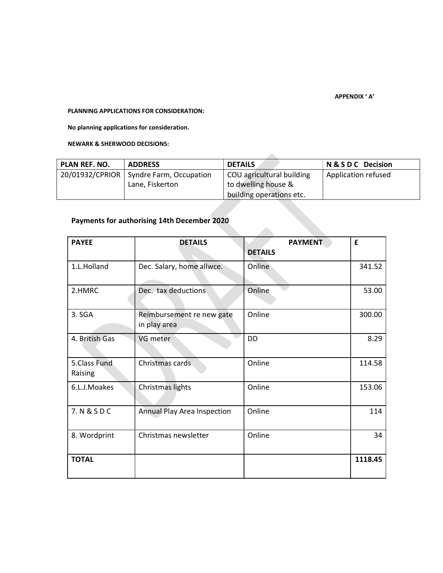#### APPENDIX ' A'

### PLANNING APPLICATIONS FOR CONSIDERATION:

No planning applications for consideration.

NEWARK & SHERWOOD DECISIONS:

| PLAN REF. NO. | <b>ADDRESS</b>                            | <b>DETAILS</b>            | N & S D C Decision  |
|---------------|-------------------------------------------|---------------------------|---------------------|
|               | 20/01932/CPRIOR   Syndre Farm, Occupation | COU agricultural building | Application refused |
|               | Lane, Fiskerton                           | to dwelling house &       |                     |
|               |                                           | building operations etc.  |                     |

# Payments for authorising 14th December 2020

| <b>PAYEE</b>            | <b>DETAILS</b>                            | <b>PAYMENT</b><br><b>DETAILS</b> | £       |
|-------------------------|-------------------------------------------|----------------------------------|---------|
| 1.L.Holland             | Dec. Salary, home allwce.                 | Online                           | 341.52  |
| 2.HMRC                  | Dec. tax deductions                       | Online                           | 53.00   |
| 3. SGA                  | Reimbursement re new gate<br>in play area | Online                           | 300.00  |
| 4. British Gas          | VG meter                                  | <b>DD</b>                        | 8.29    |
| 5.Class Fund<br>Raising | Christmas cards                           | Online                           | 114.58  |
| 6.L.J.Moakes            | Christmas lights                          | Online                           | 153.06  |
| 7. N & S D C            | <b>Annual Play Area Inspection</b>        | Online                           | 114     |
| 8. Wordprint            | Christmas newsletter                      | Online                           | 34      |
| <b>TOTAL</b>            |                                           |                                  | 1118.45 |